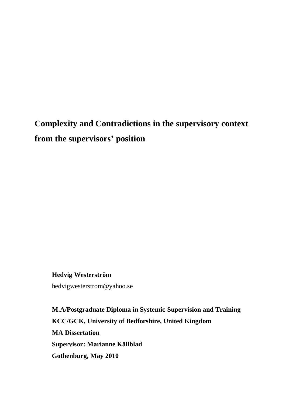# **Complexity and Contradictions in the supervisory context from the supervisors' position**

**Hedvig Westerström**  hedvigwesterstrom@yahoo.se

**M.A/Postgraduate Diploma in Systemic Supervision and Training KCC/GCK, University of Bedforshire, United Kingdom MA Dissertation Supervisor: Marianne Källblad Gothenburg, May 2010**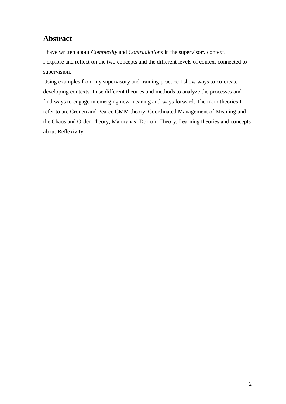## <span id="page-1-0"></span>**Abstract**

I have written about *Complexity* and *Contradictions* in the supervisory context. I explore and reflect on the two concepts and the different levels of context connected to supervision.

Using examples from my supervisory and training practice I show ways to co-create developing contexts. I use different theories and methods to analyze the processes and find ways to engage in emerging new meaning and ways forward. The main theories I refer to are Cronen and Pearce CMM theory, Coordinated Management of Meaning and the Chaos and Order Theory, Maturanas' Domain Theory, Learning theories and concepts about Reflexivity.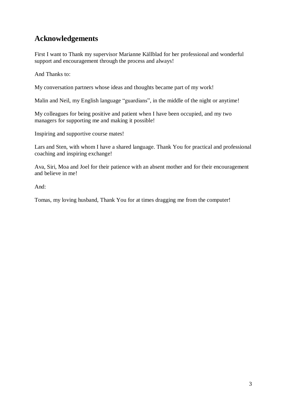## <span id="page-2-0"></span>**Acknowledgements**

First I want to Thank my supervisor Marianne Källblad for her professional and wonderful support and encouragement through the process and always!

And Thanks to:

My conversation partners whose ideas and thoughts became part of my work!

Malin and Neil, my English language "guardians", in the middle of the night or anytime!

My colleagues for being positive and patient when I have been occupied, and my two managers for supporting me and making it possible!

Inspiring and supportive course mates!

Lars and Sten, with whom I have a shared language. Thank You for practical and professional coaching and inspiring exchange!

Ava, Siri, Moa and Joel for their patience with an absent mother and for their encouragement and believe in me!

And:

Tomas, my loving husband, Thank You for at times dragging me from the computer!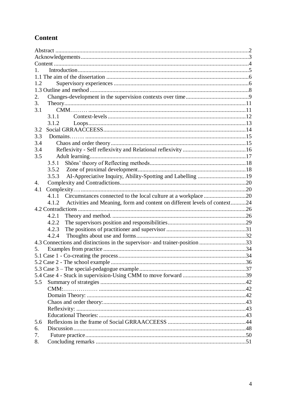## <span id="page-3-0"></span>Content

| 1.2      |                                                                                    |  |  |
|----------|------------------------------------------------------------------------------------|--|--|
|          |                                                                                    |  |  |
| 2.       |                                                                                    |  |  |
| 3.       |                                                                                    |  |  |
| 3.1      |                                                                                    |  |  |
|          | 3.1.1                                                                              |  |  |
|          | 3.1.2                                                                              |  |  |
| 3.2      |                                                                                    |  |  |
| 3.3      |                                                                                    |  |  |
| 3.4      |                                                                                    |  |  |
| 3.4      |                                                                                    |  |  |
| 3.5      |                                                                                    |  |  |
|          | 3.5.1                                                                              |  |  |
|          | 3.5.2                                                                              |  |  |
|          | 3.5.3                                                                              |  |  |
| 4.       |                                                                                    |  |  |
| 4.1      |                                                                                    |  |  |
|          | 4.1.1                                                                              |  |  |
|          |                                                                                    |  |  |
|          |                                                                                    |  |  |
|          | Activities and Meaning, form and content on different levels of context24<br>4.1.2 |  |  |
|          |                                                                                    |  |  |
|          | 4.2.1                                                                              |  |  |
|          | 4.2.2                                                                              |  |  |
|          | 4.2.3                                                                              |  |  |
|          | 4.2.4                                                                              |  |  |
|          | 4.3 Connections and distinctions in the supervisor- and trainer-position 33        |  |  |
| 5.       |                                                                                    |  |  |
|          |                                                                                    |  |  |
|          |                                                                                    |  |  |
|          |                                                                                    |  |  |
|          |                                                                                    |  |  |
| 5.5      |                                                                                    |  |  |
|          |                                                                                    |  |  |
|          |                                                                                    |  |  |
|          |                                                                                    |  |  |
|          |                                                                                    |  |  |
|          |                                                                                    |  |  |
| 5.6      |                                                                                    |  |  |
| 6.       |                                                                                    |  |  |
| 7.<br>8. |                                                                                    |  |  |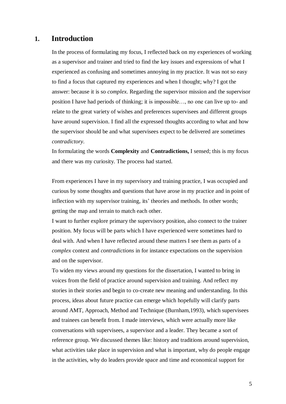### <span id="page-4-0"></span>**1. Introduction**

In the process of formulating my focus, I reflected back on my experiences of working as a supervisor and trainer and tried to find the key issues and expressions of what I experienced as confusing and sometimes annoying in my practice. It was not so easy to find a focus that captured my experiences and when I thought; why? I got the answer: because it is so *complex*. Regarding the supervisor mission and the supervisor position I have had periods of thinking; it is impossible…, no one can live up to- and relate to the great variety of wishes and preferences supervisees and different groups have around supervision. I find all the expressed thoughts according to what and how the supervisor should be and what supervisees expect to be delivered are sometimes *contradictory*.

In formulating the words **Complexity** and **Contradictions,** I sensed; this is my focus and there was my curiosity. The process had started.

From experiences I have in my supervisory and training practice, I was occupied and curious by some thoughts and questions that have arose in my practice and in point of inflection with my supervisor training, its' theories and methods. In other words; getting the map and terrain to match each other.

I want to further explore primary the supervisory position, also connect to the trainer position. My focus will be parts which I have experienced were sometimes hard to deal with. And when I have reflected around these matters I see them as parts of a *complex* context and *contradictions* in for instance expectations on the supervision and on the supervisor.

To widen my views around my questions for the dissertation, I wanted to bring in voices from the field of practice around supervision and training. And reflect my stories in their stories and begin to co-create new meaning and understanding. In this process, ideas about future practice can emerge which hopefully will clarify parts around AMT, Approach, Method and Technique (Burnham,1993), which supervisees and trainees can benefit from. I made interviews, which were actually more like conversations with supervisees, a supervisor and a leader. They became a sort of reference group. We discussed themes like: history and traditions around supervision, what activities take place in supervision and what is important, why do people engage in the activities, why do leaders provide space and time and economical support for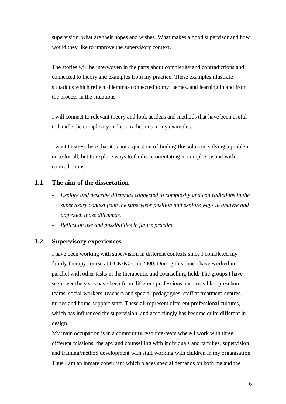supervision, what are their hopes and wishes. What makes a good supervisor and how would they like to improve the supervisory context.

The stories will be interwoven in the parts about complexity and contradictions and connected to theory and examples from my practice. These examples illustrate situations which reflect dilemmas connected to my themes, and learning in and from the process in the situations.

I will connect to relevant theory and look at ideas and methods that have been useful to handle the complexity and contradictions in my examples.

I want to stress here that it is not a question of finding **the** solution, solving a problem once for all, but to explore ways to facilitate orientating in complexity and with contradictions.

### <span id="page-5-0"></span>**1.1 The aim of the dissertation**

- **-** *Explore and describe dilemmas connected to complexity and contradictions in the supervisory context from the supervisor position and explore ways to analyze and*  *approach those dilemmas.*
- **-** *Reflect on use and possibilities in future practice.*

### <span id="page-5-1"></span>**1.2 Supervisory experiences**

I have been working with supervision in different contexts since I completed my family-therapy course at GCK/KCC in 2000. During this time I have worked in parallel with other tasks in the therapeutic and counselling field. The groups I have seen over the years have been from different professions and areas like: preschool teams, social-workers, teachers and special-pedagogues, staff at treatment-centres, nurses and home-support-staff. These all represent different professional cultures, which has influenced the supervision, and accordingly has become quite different in design.

My main occupation is in a community resource-team where I work with three different missions: therapy and counselling with individuals and families, supervision and training/method development with staff working with children in my organisation. Thus I am an inmate consultant which places special demands on both me and the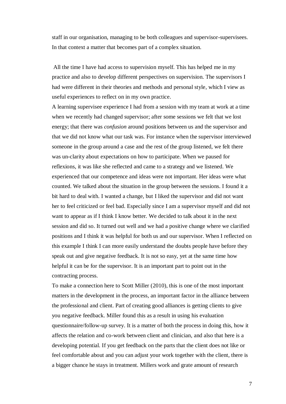staff in our organisation, managing to be both colleagues and supervisor-supervisees. In that context a matter that becomes part of a complex situation.

All the time I have had access to supervision myself. This has helped me in my practice and also to develop different perspectives on supervision. The supervisors I had were different in their theories and methods and personal style, which I view as useful experiences to reflect on in my own practice.

A learning supervisee experience I had from a session with my team at work at a time when we recently had changed supervisor; after some sessions we felt that we lost energy; that there was *confusion* around positions between us and the supervisor and that we did not know what our task was. For instance when the supervisor interviewed someone in the group around a case and the rest of the group listened, we felt there was un-clarity about expectations on how to participate. When we paused for reflexions, it was like she reflected and came to a strategy and we listened. We experienced that our competence and ideas were not important. Her ideas were what counted. We talked about the situation in the group between the sessions. I found it a bit hard to deal with. I wanted a change, but I liked the supervisor and did not want her to feel criticized or feel bad. Especially since I am a supervisor myself and did not want to appear as if I think I know better. We decided to talk about it in the next session and did so. It turned out well and we had a positive change where we clarified positions and I think it was helpful for both us and our supervisor. When I reflected on this example I think I can more easily understand the doubts people have before they speak out and give negative feedback. It is not so easy, yet at the same time how helpful it can be for the supervisor. It is an important part to point out in the contracting process.

To make a connection here to Scott Miller (2010), this is one of the most important matters in the development in the process, an important factor in the alliance between the professional and client. Part of creating good alliances is getting clients to give you negative feedback. Miller found this as a result in using his evaluation questionnaire/follow-up survey. It is a matter of both the process in doing this, how it affects the relation and co-work between client and clinician, and also that here is a developing potential. If you get feedback on the parts that the client does not like or feel comfortable about and you can adjust your work together with the client, there is a bigger chance he stays in treatment. Millers work and grate amount of research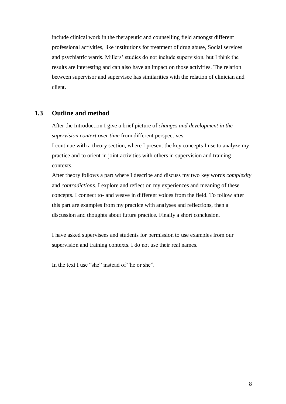include clinical work in the therapeutic and counselling field amongst different professional activities, like institutions for treatment of drug abuse, Social services and psychiatric wards. Millers' studies do not include supervision, but I think the results are interesting and can also have an impact on those activities. The relation between supervisor and supervisee has similarities with the relation of clinician and client.

### <span id="page-7-0"></span>**1.3 Outline and method**

After the Introduction I give a brief picture of *changes and development in the supervision context over time* from different perspectives.

I continue with a theory section, where I present the key concepts I use to analyze my practice and to orient in joint activities with others in supervision and training contexts.

After theory follows a part where I describe and discuss my two key words *complexity*  and *contradictions.* I explore and reflect on my experiences and meaning of these concepts. I connect to- and weave in different voices from the field. To follow after this part are examples from my practice with analyses and reflections, then a discussion and thoughts about future practice. Finally a short conclusion.

I have asked supervisees and students for permission to use examples from our supervision and training contexts. I do not use their real names.

In the text I use "she" instead of "he or she".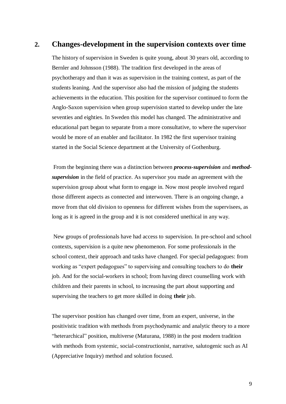### <span id="page-8-0"></span>**2. Changes-development in the supervision contexts over time**

The history of supervision in Sweden is quite young, about 30 years old, according to Bernler and Johnsson (1988). The tradition first developed in the areas of psychotherapy and than it was as supervision in the training context, as part of the students leaning. And the supervisor also had the mission of judging the students achievements in the education. This position for the supervisor continued to form the Anglo-Saxon supervision when group supervision started to develop under the late seventies and eighties. In Sweden this model has changed. The administrative and educational part began to separate from a more consultative, to where the supervisor would be more of an enabler and facilitator. In 1982 the first supervisor training started in the Social Science department at the University of Gothenburg.

From the beginning there was a distinction between *process-supervision* and *methodsupervision* in the field of practice. As supervisor you made an agreement with the supervision group about what form to engage in. Now most people involved regard those different aspects as connected and interwoven. There is an ongoing change, a move from that old division to openness for different wishes from the supervisees, as long as it is agreed in the group and it is not considered unethical in any way.

New groups of professionals have had access to supervision. In pre-school and school contexts, supervision is a quite new phenomenon. For some professionals in the school context, their approach and tasks have changed. For special pedagogues: from working as "expert pedagogues" to supervising and consulting teachers to do **their** job. And for the social-workers in school; from having direct counselling work with children and their parents in school, to increasing the part about supporting and supervising the teachers to get more skilled in doing **their** job.

The supervisor position has changed over time, from an expert, universe, in the positivistic tradition with methods from psychodynamic and analytic theory to a more "heterarchical" position, multiverse (Maturana, 1988) in the post modern tradition with methods from systemic, social-constructionist, narrative, salutogenic such as AI (Appreciative Inquiry) method and solution focused.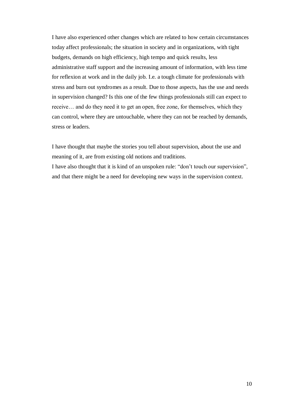I have also experienced other changes which are related to how certain circumstances today affect professionals; the situation in society and in organizations, with tight budgets, demands on high efficiency, high tempo and quick results, less administrative staff support and the increasing amount of information, with less time for reflexion at work and in the daily job. I.e. a tough climate for professionals with stress and burn out syndromes as a result. Due to those aspects, has the use and needs in supervision changed? Is this one of the few things professionals still can expect to receive… and do they need it to get an open, free zone, for themselves, which they can control, where they are untouchable, where they can not be reached by demands, stress or leaders.

I have thought that maybe the stories you tell about supervision, about the use and meaning of it, are from existing old notions and traditions.

I have also thought that it is kind of an unspoken rule: "don't touch our supervision", and that there might be a need for developing new ways in the supervision context.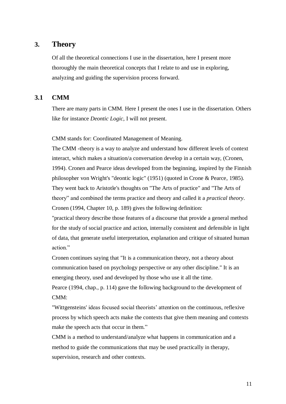### <span id="page-10-0"></span>**3. Theory**

Of all the theoretical connections I use in the dissertation, here I present more thoroughly the main theoretical concepts that I relate to and use in exploring, analyzing and guiding the supervision process forward.

### <span id="page-10-1"></span>**3.1 CMM**

There are many parts in CMM. Here I present the ones I use in the dissertation. Others like for instance *Deontic Logic,* I will not present*.*

CMM stands for: Coordinated Management of Meaning.

The CMM -theory is a way to analyze and understand how different levels of context interact, which makes a situation/a conversation develop in a certain way, (Cronen, 1994). Cronen and Pearce ideas developed from the beginning, inspired by the Finnish philosopher von Wright's "deontic logic" (1951) (quoted in Crone & Pearce, 1985). They went back to Aristotle's thoughts on "The Arts of practice" and "The Arts of theory" and combined the terms practice and theory and called it a *practical theory*. Cronen (1994, Chapter 10, p. 189) gives the following definition:

"practical theory describe those features of a discourse that provide a general method for the study of social practice and action, internally consistent and defensible in light of data, that generate useful interpretation, explanation and critique of situated human action."

Cronen continues saying that "It is a communication theory, not a theory about communication based on psychology perspective or any other discipline." It is an emerging theory, used and developed by those who use it all the time.

Pearce (1994, chap., p. 114) gave the following background to the development of CMM:

"Wittgensteins' ideas focused social theorists' attention on the continuous, reflexive process by which speech acts make the contexts that give them meaning and contexts make the speech acts that occur in them."

CMM is a method to understand/analyze what happens in communication and a method to guide the communications that may be used practically in therapy, supervision, research and other contexts.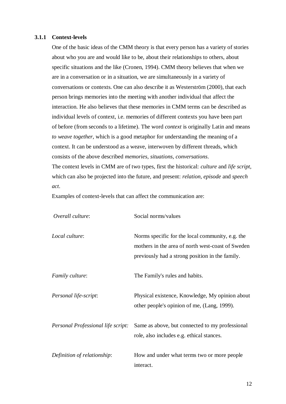#### <span id="page-11-0"></span>**3.1.1 Context-levels**

One of the basic ideas of the CMM theory is that every person has a variety of stories about who you are and would like to be, about their relationships to others, about specific situations and the like (Cronen, 1994). CMM theory believes that when we are in a conversation or in a situation, we are simultaneously in a variety of conversations or contexts. One can also describe it as Westerström (2000), that each person brings memories into the meeting with another individual that affect the interaction. He also believes that these memories in CMM terms can be described as individual levels of context, i.e. memories of different contexts you have been part of before (from seconds to a lifetime). The word *context* is originally Latin and means *to weave together*, which is a good metaphor for understanding the meaning of a context. It can be understood as a weave, interwoven by different threads, which consists of the above described *memories, situations, conversations*. The context levels in CMM are of two types, first the historical: *culture* and *life script,* which can also be projected into the future, and present: *relation, episode* and *speech act*.

Examples of context-levels that can affect the communication are:

| Overall culture:                   | Social norms/values                                                                                                                                      |  |
|------------------------------------|----------------------------------------------------------------------------------------------------------------------------------------------------------|--|
| Local culture:                     | Norms specific for the local community, e.g. the<br>mothers in the area of north west-coast of Sweden<br>previously had a strong position in the family. |  |
| <i>Family culture:</i>             | The Family's rules and habits.                                                                                                                           |  |
| Personal life-script:              | Physical existence, Knowledge, My opinion about<br>other people's opinion of me, (Lang, 1999).                                                           |  |
| Personal Professional life script: | Same as above, but connected to my professional<br>role, also includes e.g. ethical stances.                                                             |  |
| Definition of relationship:        | How and under what terms two or more people<br>interact.                                                                                                 |  |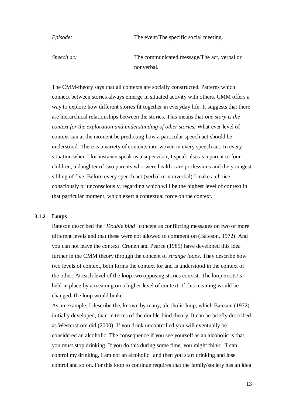*Episode:* The event/The specific social meeting.

*Speech ac:* The communicated message/The act, verbal or nonverbal.

The CMM-theory says that all contexts are socially constructed. Patterns which connect between stories always emerge in situated activity with others. CMM offers a way to explore how different stories fit together in everyday life. It suggests that there are hierarchical relationships between the stories. This means that *one story is the context for the exploration and understanding of other stories.* What ever level of context can at the moment be predicting how a particular speech act should be understood. There is a variety of contexts interwoven in every speech act. In every situation when I for instance speak as a supervisor, I speak also as a parent to four children, a daughter of two parents who were health-care professions and the youngest sibling of five. Before every speech act (verbal or nonverbal) I make a choice, consciously or unconsciously, regarding which will be the highest level of context in that particular moment, which exert a contextual force on the context.

### <span id="page-12-0"></span>**3.1.2 Loops**

Bateson described the *"Double bind"* concept as conflicting messages on two or more different levels and that these were not allowed to comment on (Bateson, 1972). And you can not leave the context. Cronen and Pearce (1985) have developed this idea further in the CMM theory through the concept of *strange loops*. They describe how two levels of context, both forms the context for and is understood in the context of the other. At each level of the loop two opposing stories coexist. The loop exists/is held in place by a meaning on a higher level of context. If this meaning would be changed, the loop would brake.

As an example, I describe the, known by many, alcoholic loop, which Bateson (1972) initially developed, than in terms of the double-bind theory. It can be briefly described as Westerström did (2000): If you drink uncontrolled you will eventually be considered an alcoholic. The consequence if you see yourself as an alcoholic is that you must stop drinking. If you do this during some time, you might think: "I can control my drinking, I am not an alcoholic" and then you start drinking and lose control and so on. For this loop to continue requires that the family/society has an idea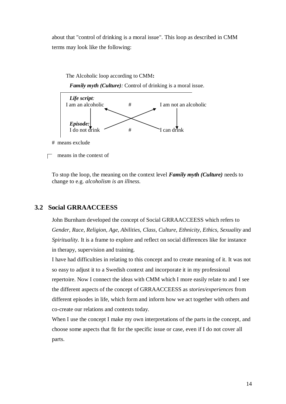about that "control of drinking is a moral issue". This loop as described in CMM terms may look like the following:



To stop the loop, the meaning on the context level *Family myth (Culture)* needs to change to e.g. *alcoholism is an illness.*

### <span id="page-13-0"></span>**3.2 Social GRRAACCEESS**

John Burnham developed the concept of Social GRRAACCEESS which refers to *Gender, Race, Religion, Age, Abilities, Class, Culture, Ethnicity, Ethics, Sexuality* and *Spirituality.* It is a frame to explore and reflect on social differences like for instance in therapy, supervision and training.

I have had difficulties in relating to this concept and to create meaning of it. It was not so easy to adjust it to a Swedish context and incorporate it in my professional repertoire. Now I connect the ideas with CMM which I more easily relate to and I see the different aspects of the concept of GRRAACCEESS as *stories/experiences* from different episodes in life, which form and inform how we act together with others and co-create our relations and contexts today.

When I use the concept I make my own interpretations of the parts in the concept, and choose some aspects that fit for the specific issue or case, even if I do not cover all parts.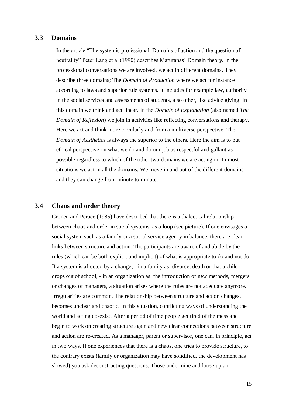### <span id="page-14-0"></span>**3.3 Domains**

In the article "The systemic professional, Domains of action and the question of neutrality" Peter Lang et al (1990) describes Maturanas' Domain theory. In the professional conversations we are involved, we act in different domains. They describe three domains; The *Domain of Production* where we act for instance according to laws and superior rule systems. It includes for example law, authority in the social services and assessments of students, also other, like advice giving. In this domain we think and act linear. In the *Domain of Explanation* (also named *The Domain of Reflexion*) we join in activities like reflecting conversations and therapy. Here we act and think more circularly and from a multiverse perspective. The *Domain of Aesthetics* is always the superior to the others. Here the aim is to put ethical perspective on what we do and do our job as respectful and gallant as possible regardless to which of the other two domains we are acting in. In most situations we act in all the domains. We move in and out of the different domains and they can change from minute to minute.

### <span id="page-14-1"></span>**3.4 Chaos and order theory**

Cronen and Perace (1985) have described that there is a dialectical relationship between chaos and order in social systems, as a loop (see picture). If one envisages a social system such as a family or a social service agency in balance, there are clear links between structure and action. The participants are aware of and abide by the rules (which can be both explicit and implicit) of what is appropriate to do and not do. If a system is affected by a change; - in a family as: divorce, death or that a child drops out of school, - in an organization as: the introduction of new methods, mergers or changes of managers, a situation arises where the rules are not adequate anymore. Irregularities are common. The relationship between structure and action changes, becomes unclear and chaotic. In this situation, conflicting ways of understanding the world and acting co-exist. After a period of time people get tired of the mess and begin to work on creating structure again and new clear connections between structure and action are re-created. As a manager, parent or supervisor, one can, in principle, act in two ways. If one experiences that there is a chaos, one tries to provide structure, to the contrary exists (family or organization may have solidified, the development has slowed) you ask deconstructing questions. Those undermine and loose up an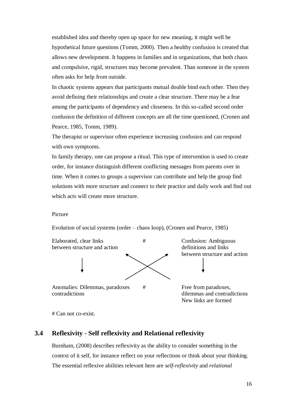established idea and thereby open up space for new meaning, it might well be hypothetical future questions (Tomm, 2000). Then a healthy confusion is created that allows new development. It happens in families and in organizations, that both chaos and compulsive, rigid, structures may become prevalent. Than someone in the system often asks for help from outside.

In chaotic systems appears that participants mutual double bind each other. Then they avoid defining their relationships and create a clear structure. There may be a fear among the participants of dependency and closeness. In this so-called second order confusion the definition of different concepts are all the time questioned, (Cronen and Pearce, 1985, Tomm, 1989).

The therapist or supervisor often experience increasing confusion and can respond with own symptoms.

In family therapy, one can propose a ritual. This type of intervention is used to create order, for instance distinguish different conflicting messages from parents over in time. When it comes to groups a supervisor can contribute and help the group find solutions with more structure and connect to their practice and daily work and find out which acts will create more structure.

#### Picture

Evolution of social systems (order – chaos loop), (Cronen and Pearce, 1985)



Anomalies: Dilemmas, paradoxes # Free from paradoxes, contradictions dilemmas and contradictions

between structure and action

New links are formed

# Can not co-exist.

### <span id="page-15-0"></span>**3.4 Reflexivity - Self reflexivity and Relational reflexivity**

Burnham, (2008) describes reflexivity as the ability to consider something in the context of it self, for instance reflect on your reflections or think about your thinking. The essential reflexive abilities relevant here are *self-reflexivity* and *relational*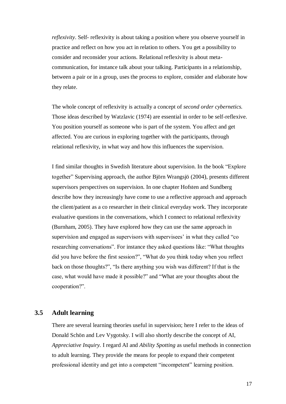*reflexivity*. Self- reflexivity is about taking a position where you observe yourself in practice and reflect on how you act in relation to others. You get a possibility to consider and reconsider your actions. Relational reflexivity is about metacommunication, for instance talk about your talking. Participants in a relationship, between a pair or in a group, uses the process to explore, consider and elaborate how they relate.

The whole concept of reflexivity is actually a concept of *second order cybernetics.* Those ideas described by Watzlavic (1974) are essential in order to be self-reflexive. You position yourself as someone who is part of the system. You affect and get affected. You are curious in exploring together with the participants, through relational reflexivity, in what way and how this influences the supervision.

I find similar thoughts in Swedish literature about supervision. In the book "Explore together" Supervising approach, the author Björn Wrangsjö (2004), presents different supervisors perspectives on supervision. In one chapter Hofsten and Sundberg describe how they increasingly have come to use a reflective approach and approach the client/patient as a co researcher in their clinical everyday work. They incorporate evaluative questions in the conversations, which I connect to relational reflexivity (Burnham, 2005). They have explored how they can use the same approach in supervision and engaged as supervisors with supervisees' in what they called "co researching conversations". For instance they asked questions like: "What thoughts did you have before the first session?", "What do you think today when you reflect back on those thoughts?", "Is there anything you wish was different? If that is the case, what would have made it possible?" and "What are your thoughts about the cooperation?".

### <span id="page-16-0"></span>**3.5 Adult learning**

There are several learning theories useful in supervision; here I refer to the ideas of Donald Schön and Lev Vygotsky. I will also shortly describe the concept of AI, *Appreciative Inquiry.* I regard AI and *Ability Spotting* as useful methods in connection to adult learning. They provide the means for people to expand their competent professional identity and get into a competent "incompetent" learning position.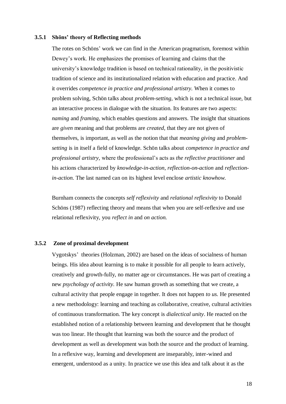#### <span id="page-17-0"></span>**3.5.1 Shöns' theory of Reflecting methods**

The rotes on Schöns' work we can find in the American pragmatism, foremost within Dewey's work. He emphasizes the promises of learning and claims that the university's knowledge tradition is based on technical rationality, in the positivistic tradition of science and its institutionalized relation with education and practice. And it overrides *competence in practice and professional artistry.* When it comes to problem solving, Schön talks about *problem-setting,* which is not a technical issue, but an interactive process in dialogue with the situation. Its features are two aspects: *naming* and *framing*, which enables questions and answers. The insight that situations are *given* meaning and that problems are *created,* that they are not given of themselves, is important, as well as the notion that that *meaning giving* and *problemsetting* is in itself a field of knowledge. Schön talks about *competence in practice and professional artistry,* where the professional's acts as *the reflective practitioner* and his actions characterized by *knowledge-in-action, reflection-on-action* and *reflectionin-action.* The last named can on its highest level enclose *artistic knowhow.* 

Burnham connects the concepts *self reflexivity* and *relational reflexivity* to Donald Schöns (1987) reflecting theory and means that when you are self-reflexive and use relational reflexivity, you *reflect in* and *on action.*

#### <span id="page-17-1"></span>**3.5.2 Zone of proximal development**

Vygotskys' theories (Holzman, 2002) are based on the ideas of socialness of human beings. His idea about learning is to make it possible for all people to learn actively, creatively and growth-fully, no matter age or circumstances. He was part of creating a new *psychology of activity.* He saw human growth as something that we create, a cultural activity that people engage in together. It does not happen *to us.* He presented a new methodology: learning and teaching as collaborative, creative, cultural activities of continuous transformation. The key concept is *dialectical unity*. He reacted on the established notion of a relationship between learning and development that he thought was too linear. He thought that learning was both the source and the product of development as well as development was both the source and the product of learning. In a reflexive way, learning and development are inseparably, inter-wined and emergent, understood as a unity. In practice we use this idea and talk about it as the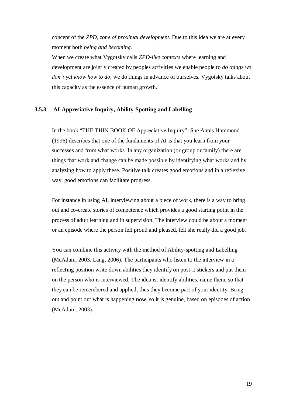concept of the *ZPD, zone of proximal development.* Due to this idea we are at every moment both *being and becoming.* 

When we create what Vygotsky calls *ZPD-like contexts* where learning and development are jointly created by peoples activities we enable people to *do things we don't* yet *know how to do,* we do things in advance of ourselves. Vygotsky talks about this capacity as the essence of human growth.

### <span id="page-18-0"></span>**3.5.3 AI-Appreciative Inquiry, Ability-Spotting and Labelling**

In the book "THE THIN BOOK OF Appreciative Inquiry", Sue Annis Hammond (1996) describes that one of the fundaments of AI is that you learn from your successes and from what works. In any organization (or group or family) there are things that work and change can be made possible by identifying what works and by analyzing how to apply these. Positive talk creates good emotions and in a reflexive way, good emotions can facilitate progress.

For instance in using AI, interviewing about a piece of work, there is a way to bring out and co-create stories of competence which provides a good starting point in the process of adult learning and in supervision. The interview could be about a moment or an episode where the person felt proud and pleased, felt she really did a good job.

You can combine this activity with the method of Ability-spotting and Labelling (McAdam, 2003, Lang, 2006). The participants who listen to the interview in a reflecting position write down abilities they identify on post-it stickers and put them on the person who is interviewed. The idea is; identify abilities, name them, so that they can be remembered and applied, thus they become part of your identity. Bring out and point out what is happening **now**, so it is genuine, based on episodes of action (McAdam, 2003).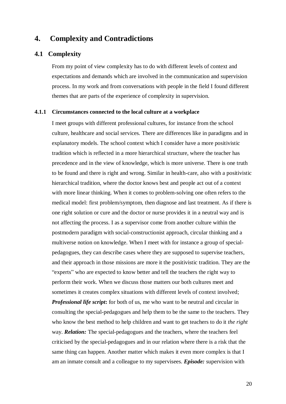### <span id="page-19-0"></span>**4. Complexity and Contradictions**

### <span id="page-19-1"></span>**4.1 Complexity**

From my point of view complexity has to do with different levels of context and expectations and demands which are involved in the communication and supervision process. In my work and from conversations with people in the field I found different themes that are parts of the experience of complexity in supervision.

#### <span id="page-19-2"></span>**4.1.1 Circumstances connected to the local culture at a workplace**

I meet groups with different professional cultures, for instance from the school culture, healthcare and social services. There are differences like in paradigms and in explanatory models. The school context which I consider have a more positivistic tradition which is reflected in a more hierarchical structure, where the teacher has precedence and in the view of knowledge, which is more universe. There is one truth to be found and there is right and wrong. Similar in health-care, also with a positivistic hierarchical tradition, where the doctor knows best and people act out of a context with more linear thinking. When it comes to problem-solving one often refers to the medical model: first problem/symptom, then diagnose and last treatment. As if there is one right solution or cure and the doctor or nurse provides it in a neutral way and is not affecting the process. I as a supervisor come from another culture within the postmodern paradigm with social-constructionist approach, circular thinking and a multiverse notion on knowledge. When I meet with for instance a group of specialpedagogues, they can describe cases where they are supposed to supervise teachers, and their approach in those missions are more it the positivistic tradition. They are the "experts" who are expected to know better and tell the teachers the right way to perform their work. When we discuss those matters our both cultures meet and sometimes it creates complex situations with different levels of context involved; *Professional life script***:** for both of us, me who want to be neutral and circular in consulting the special-pedagogues and help them to be the same to the teachers. They who know the best method to help children and want to get teachers to do it *the right* way. *Relation:* The special-pedagogues and the teachers, where the teachers feel criticised by the special-pedagogues and in our relation where there is a risk that the same thing can happen. Another matter which makes it even more complex is that I am an inmate consult and a colleague to my supervisees. *Episode:* supervision with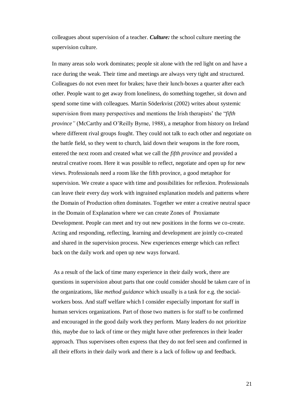colleagues about supervision of a teacher. *Culture:* the school culture meeting the supervision culture.

In many areas solo work dominates; people sit alone with the red light on and have a race during the weak. Their time and meetings are always very tight and structured. Colleagues do not even meet for brakes; have their lunch-boxes a quarter after each other. People want to get away from loneliness, do something together, sit down and spend some time with colleagues. Martin Söderkvist (2002) writes about systemic supervision from many perspectives and mentions the Irish therapists' the "*fifth province"* (McCarthy and O'Reilly Byrne, 1988), a metaphor from history on Ireland where different rival groups fought. They could not talk to each other and negotiate on the battle field, so they went to church, laid down their weapons in the fore room, entered the next room and created what we call the *fifth province* and provided a neutral creative room. Here it was possible to reflect, negotiate and open up for new views. Professionals need a room like the fifth province, a good metaphor for supervision. We create a space with time and possibilities for reflexion. Professionals can leave their every day work with ingrained explanation models and patterns where the Domain of Production often dominates. Together we enter a creative neutral space in the Domain of Explanation where we can create Zones of Proxiamate Development. People can meet and try out new positions in the forms we co-create. Acting and responding, reflecting, learning and development are jointly co-created and shared in the supervision process. New experiences emerge which can reflect back on the daily work and open up new ways forward.

As a result of the lack of time many experience in their daily work, there are questions in supervision about parts that one could consider should be taken care of in the organizations, like *method guidance* which usually is a task for e.g. the socialworkers boss. And staff welfare which I consider especially important for staff in human services organizations. Part of those two matters is for staff to be confirmed and encouraged in the good daily work they perform. Many leaders do not prioritize this, maybe due to lack of time or they might have other preferences in their leader approach. Thus supervisees often express that they do not feel seen and confirmed in all their efforts in their daily work and there is a lack of follow up and feedback.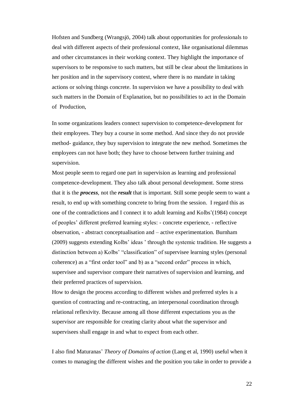Hofsten and Sundberg (Wrangsjö, 2004) talk about opportunities for professionals to deal with different aspects of their professional context, like organisational dilemmas and other circumstances in their working context. They highlight the importance of supervisors to be responsive to such matters, but still be clear about the limitations in her position and in the supervisory context, where there is no mandate in taking actions or solving things concrete. In supervision we have a possibility to deal with such matters in the Domain of Explanation, but no possibilities to act in the Domain of Production,

In some organizations leaders connect supervision to competence-development for their employees. They buy a course in some method. And since they do not provide method- guidance, they buy supervision to integrate the new method. Sometimes the employees can not have both; they have to choose between further training and supervision.

Most people seem to regard one part in supervision as learning and professional competence-development. They also talk about personal development. Some stress that it is the *process,* not the *result* that is important. Still some people seem to want a result, to end up with something concrete to bring from the session. I regard this as one of the contradictions and I connect it to adult learning and Kolbs'(1984) concept of peoples' different preferred learning styles: - concrete experience, - reflective observation, - abstract conceptualisation and – active experimentation. Burnham (2009) suggests extending Kolbs' ideas ' through the systemic tradition. He suggests a distinction between a) Kolbs' "classification" of supervisee learning styles (personal coherence) as a "first order tool" and b) as a "second order" process in which, supervisee and supervisor compare their narratives of supervision and learning, and their preferred practices of supervision.

How to design the process according to different wishes and preferred styles is a question of contracting and re-contracting, an interpersonal coordination through relational reflexivity. Because among all those different expectations you as the supervisor are responsible for creating clarity about what the supervisor and supervisees shall engage in and what to expect from each other.

I also find Maturanas' *Theory of Domains of action* (Lang et al, 1990) useful when it comes to managing the different wishes and the position you take in order to provide a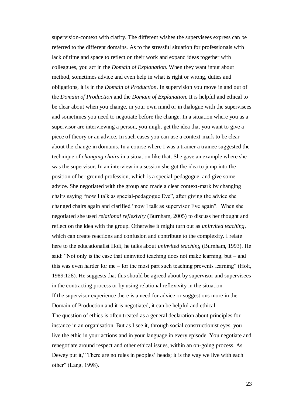supervision-context with clarity. The different wishes the supervisees express can be referred to the different domains. As to the stressful situation for professionals with lack of time and space to reflect on their work and expand ideas together with colleagues, you act in the *Domain of Explanation.* When they want input about method, sometimes advice and even help in what is right or wrong, duties and obligations, it is in the *Domain of Production*. In supervision you move in and out of the *Domain of Production* and the *Domain of Explanation.* It is helpful and ethical to be clear about when you change, in your own mind or in dialogue with the supervisees and sometimes you need to negotiate before the change. In a situation where you as a supervisor are interviewing a person, you might get the idea that you want to give a piece of theory or an advice. In such cases you can use a context-mark to be clear about the change in domains. In a course where I was a trainer a trainee suggested the technique of *changing chairs* in a situation like that. She gave an example where she was the supervisor. In an interview in a session she got the idea to jump into the position of her ground profession, which is a special-pedagogue, and give some advice. She negotiated with the group and made a clear context-mark by changing chairs saying "now I talk as special-pedagogue Eve", after giving the advice she changed chairs again and clarified "now I talk as supervisor Eve again". When she negotiated she used *relational reflexivity* (Burnham, 2005) to discuss her thought and reflect on the idea with the group. Otherwise it might turn out as *uninvited teaching*, which can create reactions and confusion and contribute to the complexity. I relate here to the educationalist Holt, he talks about *uninvited teaching* (Burnham, 1993). He said: "Not only is the case that uninvited teaching does not make learning, but – and this was even harder for me – for the most part such teaching prevents learning" (Holt, 1989:128). He suggests that this should be agreed about by supervisor and supervisees in the contracting process or by using relational reflexivity in the situation. If the supervisor experience there is a need for advice or suggestions more in the Domain of Production and it is negotiated, it can be helpful and ethical. The question of ethics is often treated as a general declaration about principles for instance in an organisation. But as I see it, through social constructionist eyes, you live the ethic in your actions and in your language in every episode. You negotiate and renegotiate around respect and other ethical issues, within an on-going process. As Dewey put it," There are no rules in peoples' heads; it is the way we live with each other" (Lang, 1998).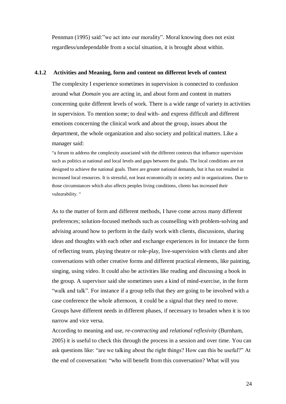Pennman (1995) said:"we act into our morality". Moral knowing does not exist regardless/undependable from a social situation, it is brought about within.

#### <span id="page-23-0"></span>**4.1.2 Activities and Meaning, form and content on different levels of context**

The complexity I experience sometimes in supervision is connected to confusion around what *Domain* you are acting in, and about form and content in matters concerning quite different levels of work. There is a wide range of variety in activities in supervision. To mention some; to deal with- and express difficult and different emotions concerning the clinical work and about the group, issues about the department, the whole organization and also society and political matters. Like a manager said:

"a forum to address the complexity associated with the different contexts that influence supervision such as politics at national and local levels and gaps between the goals. The local conditions are not designed to achieve the national goals. There are greater national demands, but it has not resulted in increased local resources. It is stressful, not least economically in society and in organizations. Due to those circumstances which also affects peoples living conditions, clients has increased their vulnerability. "

As to the matter of form and different methods, I have come across many different preferences; solution-focused methods such as counselling with problem-solving and advising around how to perform in the daily work with clients, discussions, sharing ideas and thoughts with each other and exchange experiences in for instance the form of reflecting team, playing theatre or role-play, live-supervision with clients and alter conversations with other creative forms and different practical elements, like painting, singing, using video. It could also be activities like reading and discussing a book in the group. A supervisor said she sometimes uses a kind of mind-exercise, in the form "walk and talk". For instance if a group tells that they are going to be involved with a case conference the whole afternoon, it could be a signal that they need to move. Groups have different needs in different phases, if necessary to broaden when it is too narrow and vice versa.

According to meaning and use, *re-contracting* and *relational reflexivity* (Burnham, 2005) it is useful to check this through the process in a session and over time. You can ask questions like: "are we talking about the right things? How can this be useful?" At the end of conversation: "who will benefit from this conversation? What will you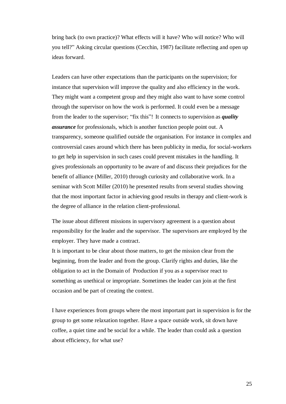bring back (to own practice)? What effects will it have? Who will notice? Who will you tell?" Asking circular questions (Cecchin, 1987) facilitate reflecting and open up ideas forward.

Leaders can have other expectations than the participants on the supervision; for instance that supervision will improve the quality and also efficiency in the work. They might want a competent group and they might also want to have some control through the supervisor on how the work is performed. It could even be a message from the leader to the supervisor; "fix this"! It connects to supervision as *quality assurance* for professionals, which is another function people point out. A transparency, someone qualified outside the organisation. For instance in complex and controversial cases around which there has been publicity in media, for social-workers to get help in supervision in such cases could prevent mistakes in the handling. It gives professionals an opportunity to be aware of and discuss their prejudices for the benefit of alliance (Miller, 2010) through curiosity and collaborative work. In a seminar with Scott Miller (2010) he presented results from several studies showing that the most important factor in achieving good results in therapy and client-work is the degree of alliance in the relation client-professional.

The issue about different missions in supervisory agreement is a question about responsibility for the leader and the supervisor. The supervisors are employed by the employer. They have made a contract.

It is important to be clear about those matters, to get the mission clear from the beginning, from the leader and from the group. Clarify rights and duties, like the obligation to act in the Domain of Production if you as a supervisor react to something as unethical or impropriate. Sometimes the leader can join at the first occasion and be part of creating the context.

I have experiences from groups where the most important part in supervision is for the group to get some relaxation together. Have a space outside work, sit down have coffee, a quiet time and be social for a while. The leader than could ask a question about efficiency, for what use?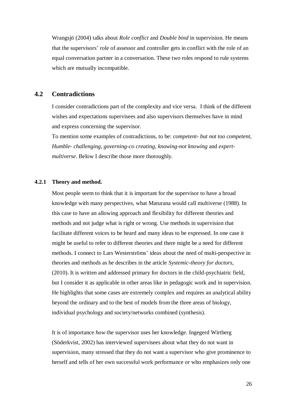Wrangsjö (2004) talks about *Role conflict* and *Double bind* in supervision. He means that the supervisors' role of assessor and controller gets in conflict with the role of an equal conversation partner in a conversation. These two roles respond to rule systems which are mutually incompatible.

### <span id="page-25-0"></span>**4.2 Contradictions**

I consider contradictions part of the complexity and vice versa. I think of the different wishes and expectations supervisees and also supervisors themselves have in mind and express concerning the supervisor.

To mention some examples of contradictions, to be: *competent- but not too competent, Humble- challenging, governing-co creating, knowing-not knowing* and *expertmultiverse*. Below I describe those more thoroughly.

#### <span id="page-25-1"></span>**4.2.1 Theory and method.**

Most people seem to think that it is important for the supervisor to have a broad knowledge with many perspectives, what Maturana would call multiverse (1988). In this case to have an allowing approach and flexibility for different theories and methods and not judge what is right or wrong. Use methods in supervision that facilitate different voices to be heard and many ideas to be expressed. In one case it might be useful to refer to different theories and there might be a need for different methods. I connect to Lars Westerströms' ideas about the need of multi-perspective in theories and methods as he describes in the article *Systemic-theory for doctors,* (2010). It is written and addressed primary for doctors in the child-psychiatric field, but I consider it as applicable in other areas like in pedagogic work and in supervision. He highlights that some cases are extremely complex and requires an analytical ability beyond the ordinary and to the best of models from the three areas of biology, individual psychology and society/networks combined (synthesis).

It is of importance *how* the supervisor uses her knowledge. Ingegerd Wirtberg (Söderkvist, 2002) has interviewed supervisees about what they do not want in supervision, many stressed that they do not want a supervisor who give prominence to herself and tells of her own successful work performance or who emphasizes only one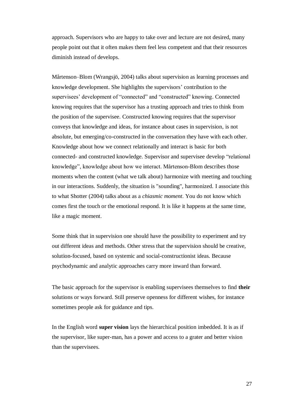approach. Supervisors who are happy to take over and lecture are not desired, many people point out that it often makes them feel less competent and that their resources diminish instead of develops.

Mårtenson–Blom (Wrangsjö, 2004) talks about supervision as learning processes and knowledge development. She highlights the supervisors' contribution to the supervisees' development of "connected" and "constructed" knowing. Connected knowing requires that the supervisor has a trusting approach and tries to think from the position of the supervisee. Constructed knowing requires that the supervisor conveys that knowledge and ideas, for instance about cases in supervision, is not absolute, but emerging/co-constructed in the conversation they have with each other. Knowledge about how we connect relationally and interact is basic for both connected- and constructed knowledge. Supervisor and supervisee develop "relational knowledge", knowledge about how we interact. Mårtenson-Blom describes those moments when the content (what we talk about) harmonize with meeting and touching in our interactions. Suddenly, the situation is "sounding", harmonized. I associate this to what Shotter (2004) talks about as a *chiasmic moment*. You do not know which comes first the touch or the emotional respond. It is like it happens at the same time, like a magic moment.

Some think that in supervision one should have the possibility to experiment and try out different ideas and methods. Other stress that the supervision should be creative, solution-focused, based on systemic and social-constructionist ideas. Because psychodynamic and analytic approaches carry more inward than forward.

The basic approach for the supervisor is enabling supervisees themselves to find **their** solutions or ways forward. Still preserve openness for different wishes, for instance sometimes people ask for guidance and tips.

In the English word **super vision** lays the hierarchical position imbedded. It is as if the supervisor, like super-man, has a power and access to a grater and better vision than the supervisees.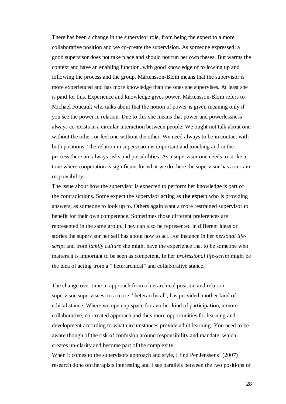There has been a change in the supervisor role, from being the expert to a more collaborative position and we co-create the supervision. As someone expressed; a good supervisor does not take place and should not run her own theses. But warms the context and have an enabling function, with good knowledge of following up and following the process and the group. Mårtensson-Blom means that the supervisor is more experienced and has more knowledge than the ones she supervises. At least she is paid for this. Experience and knowledge gives power. Mårtensson-Blom refers to Michael Foucault who talks about that the notion of power is given meaning only if you see the power in relation. Due to this she means that power and powerlessness always co-exists in a circular interaction between people. We ought not talk about one without the other, or feel one without the other. We need always to be in contact with both positions. The relation in supervision is important and touching and in the process there are always risks and possibilities. As a supervisor one needs to strike a tone where cooperation is significant for what we do, here the supervisor has a certain responsibility.

The issue about how the supervisor is expected to perform her knowledge is part of the contradictions. Some expect the supervisor acting as **the expert** who is providing answers, as someone to look up to. Others again want a more restrained supervisor to benefit for their own competence. Sometimes those different preferences are represented in the same group. They can also be represented in different ideas or stories the supervisor her self has about how to act. For instance in her *personal lifescript* and from *family culture* she might have the experience that to be someone who matters it is important to be seen as competent. In her *professional life-script* might be the idea of acting from a " heterarchical" and collaborative stance.

The change over time in approach from a hierarchical position and relation supervisor-supervisees, to a more " heterarchical", has provided another kind of ethical stance. Where we open up space for another kind of participation, a more collaborative, co-created approach and thus more opportunities for learning and development according to what circumstances provide adult learning. You need to be aware though of the risk of confusion around responsibility and mandate, which creates un-clarity and become part of the complexity.

When it comes to the supervisors approach and style, I find Per Jenssens' (2007) research done on therapists interesting and I see parallels between the two positions of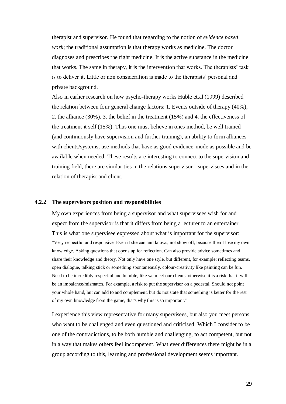therapist and supervisor. He found that regarding to the notion of *evidence based work*; the traditional assumption is that therapy works as medicine. The doctor diagnoses and prescribes the right medicine. It is the active substance in the medicine that works. The same in therapy, it is the intervention that works. The therapists' task is to deliver it. Little or non consideration is made to the therapists' personal and private background.

Also in earlier research on how psycho-therapy works Huble et.al (1999) described the relation between four general change factors: 1. Events outside of therapy (40%), 2. the alliance (30%), 3. the belief in the treatment (15%) and 4. the effectiveness of the treatment it self (15%). Thus one must believe in ones method, be well trained (and continuously have supervision and further training), an ability to form alliances with clients/systems, use methods that have as good evidence-mode as possible and be available when needed. These results are interesting to connect to the supervision and training field, there are similarities in the relations supervisor - supervisees and in the relation of therapist and client.

#### <span id="page-28-0"></span>**4.2.2 The supervisors position and responsibilities**

My own experiences from being a supervisor and what supervisees wish for and expect from the supervisor is that it differs from being a lecturer to an entertainer. This is what one supervisee expressed about what is important for the supervisor: "Very respectful and responsive. Even if she can and knows, not show off, because then I lose my own knowledge. Asking questions that opens up for reflection. Can also provide advice sometimes and share their knowledge and theory. Not only have one style, but different, for example: reflecting teams, open dialogue, talking stick or something spontaneously, colour-creativity like painting can be fun. Need to be incredibly respectful and humble, like we meet our clients, otherwise it is a risk that it will be an imbalance/mismatch. For example, a risk to put the supervisor on a pedestal. Should not point your whole hand, but can add to and complement, but do not state that something is better for the rest of my own knowledge from the game, that's why this is so important."

I experience this view representative for many supervisees, but also you meet persons who want to be challenged and even questioned and criticised. Which I consider to be one of the contradictions, to be both humble and challenging, to act competent, but not in a way that makes others feel incompetent. What ever differences there might be in a group according to this, learning and professional development seems important.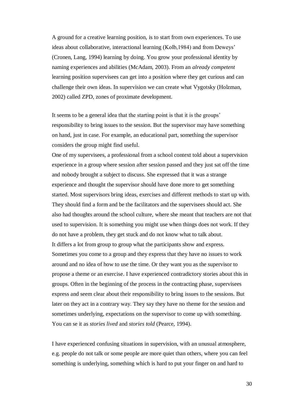A ground for a creative learning position, is to start from own experiences. To use ideas about collaborative, interactional learning (Kolb,1984) and from Deweys' (Cronen, Lang, 1994) learning by doing. You grow your professional identity by naming experiences and abilities (McAdam, 2003). From an *already competent* learning position supervisees can get into a position where they get curious and can challenge their own ideas. In supervision we can create what Vygotsky (Holzman, 2002) called ZPD, zones of proximate development.

It seems to be a general idea that the starting point is that it is the groups' responsibility to bring issues to the session. But the supervisor may have something on hand, just in case. For example, an educational part, something the supervisor considers the group might find useful.

One of my supervisees, a professional from a school context told about a supervision experience in a group where session after session passed and they just sat off the time and nobody brought a subject to discuss. She expressed that it was a strange experience and thought the supervisor should have done more to get something started. Most supervisors bring ideas, exercises and different methods to start up with. They should find a form and be the facilitators and the supervisees should act. She also had thoughts around the school culture, where she meant that teachers are not that used to supervision. It is something you might use when things does not work. If they do not have a problem, they get stuck and do not know what to talk about. It differs a lot from group to group what the participants show and express. Sometimes you come to a group and they express that they have no issues to work around and no idea of how to use the time. Or they want you as the supervisor to propose a theme or an exercise. I have experienced contradictory stories about this in groups. Often in the beginning of the process in the contracting phase, supervisees express and seem clear about their responsibility to bring issues to the sessions. But later on they act in a contrary way. They say they have no theme for the session and sometimes underlying, expectations on the supervisor to come up with something. You can se it as *stories lived* and *stories told* (Pearce, 1994).

I have experienced confusing situations in supervision, with an unusual atmosphere, e.g. people do not talk or some people are more quiet than others, where you can feel something is underlying, something which is hard to put your finger on and hard to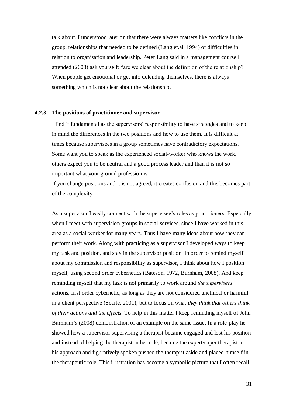talk about. I understood later on that there were always matters like conflicts in the group, relationships that needed to be defined (Lang et.al, 1994) or difficulties in relation to organisation and leadership. Peter Lang said in a management course I attended (2008) ask yourself: "are we clear about the definition of the relationship? When people get emotional or get into defending themselves, there is always something which is not clear about the relationship.

#### <span id="page-30-0"></span>**4.2.3 The positions of practitioner and supervisor**

I find it fundamental as the supervisors' responsibility to have strategies and to keep in mind the differences in the two positions and how to use them. It is difficult at times because supervisees in a group sometimes have contradictory expectations. Some want you to speak as the experienced social-worker who knows the work, others expect you to be neutral and a good process leader and than it is not so important what your ground profession is.

If you change positions and it is not agreed, it creates confusion and this becomes part of the complexity.

As a supervisor I easily connect with the supervisee's roles as practitioners. Especially when I meet with supervision groups in social-services, since I have worked in this area as a social-worker for many years. Thus I have many ideas about how they can perform their work. Along with practicing as a supervisor I developed ways to keep my task and position, and stay in the supervisor position. In order to remind myself about my commission and responsibility as supervisor, I think about how I position myself, using second order cybernetics (Bateson, 1972, Burnham, 2008). And keep reminding myself that my task is not primarily to work around *the supervisees'*  actions, first order cybernetic, as long as they are not considered unethical or harmful in a client perspective (Scaife, 2001), but to focus on what *they think that others think of their actions and the effects.* To help in this matter I keep reminding myself of John Burnham's (2008) demonstration of an example on the same issue. In a role-play he showed how a supervisor supervising a therapist became engaged and lost his position and instead of helping the therapist in her role, became the expert/super therapist in his approach and figuratively spoken pushed the therapist aside and placed himself in the therapeutic role. This illustration has become a symbolic picture that I often recall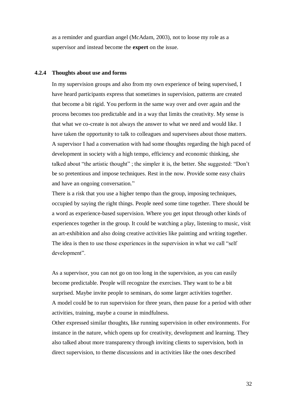as a reminder and guardian angel (McAdam, 2003), not to loose my role as a supervisor and instead become the **expert** on the issue.

#### <span id="page-31-0"></span>**4.2.4 Thoughts about use and forms**

In my supervision groups and also from my own experience of being supervised, I have heard participants express that sometimes in supervision, patterns are created that become a bit rigid. You perform in the same way over and over again and the process becomes too predictable and in a way that limits the creativity. My sense is that what we co-create is not always the answer to what we need and would like. I have taken the opportunity to talk to colleagues and supervisees about those matters. A supervisor I had a conversation with had some thoughts regarding the high paced of development in society with a high tempo, efficiency and economic thinking, she talked about "the artistic thought" ; the simpler it is, the better. She suggested: "Don't be so pretentious and impose techniques. Rest in the now. Provide some easy chairs and have an ongoing conversation."

There is a risk that you use a higher tempo than the group, imposing techniques, occupied by saying the right things. People need some time together. There should be a word as experience-based supervision. Where you get input through other kinds of experiences together in the group. It could be watching a play, listening to music, visit an art-exhibition and also doing creative activities like painting and writing together. The idea is then to use those experiences in the supervision in what we call "self development".

As a supervisor, you can not go on too long in the supervision, as you can easily become predictable. People will recognize the exercises. They want to be a bit surprised. Maybe invite people to seminars, do some larger activities together. A model could be to run supervision for three years, then pause for a period with other activities, training, maybe a course in mindfulness.

Other expressed similar thoughts, like running supervision in other environments. For instance in the nature, which opens up for creativity, development and learning. They also talked about more transparency through inviting clients to supervision, both in direct supervision, to theme discussions and in activities like the ones described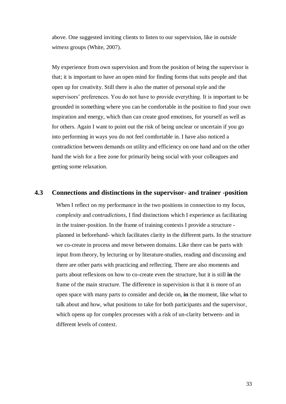above. One suggested inviting clients to listen to our supervision, like in *outside witness* groups (White, 2007).

My experience from own supervision and from the position of being the supervisor is that; it is important to have an open mind for finding forms that suits people and that open up for creativity. Still there is also the matter of personal style and the supervisors' preferences. You do not have to provide everything. It is important to be grounded in something where you can be comfortable in the position to find your own inspiration and energy, which than can create good emotions, for yourself as well as for others. Again I want to point out the risk of being unclear or uncertain if you go into performing in ways you do not feel comfortable in. I have also noticed a contradiction between demands on utility and efficiency on one hand and on the other hand the wish for a free zone for primarily being social with your colleagues and getting some relaxation.

### <span id="page-32-0"></span>**4.3 Connections and distinctions in the supervisor- and trainer -position**

When I reflect on my performance in the two positions in connection to my focus, *complexity* and *contradictions*, I find distinctions which I experience as facilitating in the trainer-position. In the frame of training contexts I provide a structure planned in beforehand- which facilitates clarity in the different parts. In the structure we co-create in process and move between domains. Like there can be parts with input from theory, by lecturing or by literature-studies, reading and discussing and there are other parts with practicing and reflecting. There are also moments and parts about reflexions on how to co-create even the structure, but it is still **in** the frame of the main structure. The difference in supervision is that it is more of an open space with many parts to consider and decide on, **in** the moment, like what to talk about and how, what positions to take for both participants and the supervisor, which opens up for complex processes with a risk of un-clarity between- and in different levels of context.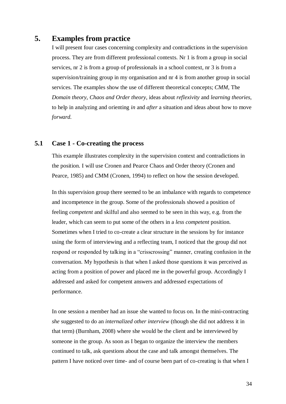### <span id="page-33-0"></span>**5. Examples from practice**

I will present four cases concerning complexity and contradictions in the supervision process. They are from different professional contexts. Nr 1 is from a group in social services, nr 2 is from a group of professionals in a school context, nr 3 is from a supervision/training group in my organisation and nr 4 is from another group in social services. The examples show the use of different theoretical concepts; *CMM*, The *Domain theory*, *Chaos and Order theory*, ideas about *reflexivity* and *learning theories*, to help in analyzing and orienting *in* and *after* a situation and ideas about how to move *forward.*

### <span id="page-33-1"></span>**5.1 Case 1 - Co-creating the process**

This example illustrates complexity in the supervision context and contradictions in the position. I will use Cronen and Pearce Chaos and Order theory (Cronen and Pearce, 1985) and CMM (Cronen, 1994) to reflect on how the session developed.

In this supervision group there seemed to be an imbalance with regards to competence and incompetence in the group. Some of the professionals showed a position of feeling *competent* and skilful and also seemed to be seen in this way, e.g. from the leader, which can seem to put some of the others in a *less competent* position. Sometimes when I tried to co-create a clear structure in the sessions by for instance using the form of interviewing and a reflecting team, I noticed that the group did not respond or responded by talking in a "crisscrossing" manner, creating confusion in the conversation. My hypothesis is that when I asked those questions it was perceived as acting from a position of power and placed me in the powerful group. Accordingly I addressed and asked for competent answers and addressed expectations of performance.

In one session a member had an issue she wanted to focus on. In the mini-contracting *she* suggested to do an *internalized other interview* (though she did not address it in that term) (Burnham, 2008) where she would be the client and be interviewed by someone in the group. As soon as I began to organize the interview the members continued to talk, ask questions about the case and talk amongst themselves. The pattern I have noticed over time- and of course been part of co-creating is that when I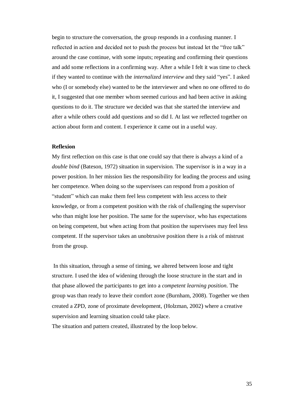begin to structure the conversation, the group responds in a confusing manner. I reflected in action and decided not to push the process but instead let the "free talk" around the case continue, with some inputs; repeating and confirming their questions and add some reflections in a confirming way. After a while I felt it was time to check if they wanted to continue with the *internalized interview* and they said "yes". I asked who (I or somebody else) wanted to be the interviewer and when no one offered to do it, I suggested that one member whom seemed curious and had been active in asking questions to do it. The structure we decided was that she started the interview and after a while others could add questions and so did I. At last we reflected together on action about form and content. I experience it came out in a useful way.

#### **Reflexion**

My first reflection on this case is that one could say that there is always a kind of a *double bind* (Bateson, 1972) situation in supervision. The supervisor is in a way in a power position. In her mission lies the responsibility for leading the process and using her competence. When doing so the supervisees can respond from a position of "student" which can make them feel less competent with less access to their knowledge, or from a competent position with the risk of challenging the supervisor who than might lose her position. The same for the supervisor, who has expectations on being competent, but when acting from that position the supervisees may feel less competent. If the supervisor takes an unobtrusive position there is a risk of mistrust from the group.

In this situation, through a sense of timing, we altered between loose and tight structure. I used the idea of widening through the loose structure in the start and in that phase allowed the participants to get into a *competent learning position.* The group was than ready to leave their comfort zone (Burnham, 2008). Together we then created a ZPD, zone of proximate development, (Holzman, 2002) where a creative supervision and learning situation could take place.

The situation and pattern created, illustrated by the loop below.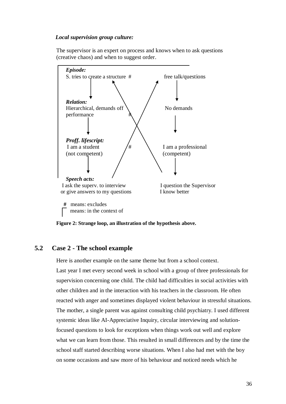#### *Local supervision group culture:*

The supervisor is an expert on process and knows when to ask questions (creative chaos) and when to suggest order.



**Figure 2: Strange loop, an illustration of the hypothesis above.**

### <span id="page-35-0"></span>**5.2 Case 2 - The school example**

Here is another example on the same theme but from a school context.

Last year I met every second week in school with a group of three professionals for supervision concerning one child. The child had difficulties in social activities with other children and in the interaction with his teachers in the classroom. He often reacted with anger and sometimes displayed violent behaviour in stressful situations. The mother, a single parent was against consulting child psychiatry. I used different systemic ideas like AI-Appreciative Inquiry, circular interviewing and solutionfocused questions to look for exceptions when things work out well and explore what we can learn from those. This resulted in small differences and by the time the school staff started describing worse situations. When I also had met with the boy on some occasions and saw more of his behaviour and noticed needs which he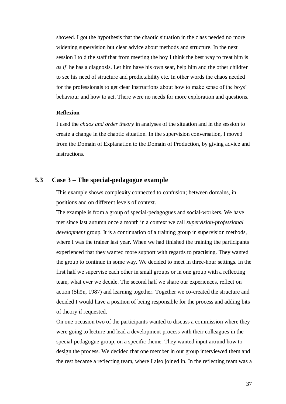showed. I got the hypothesis that the chaotic situation in the class needed no more widening supervision but clear advice about methods and structure. In the next session I told the staff that from meeting the boy I think the best way to treat him is *as if* he has a diagnosis. Let him have his own seat, help him and the other children to see his need of structure and predictability etc. In other words the chaos needed for the professionals to get clear instructions about how to make sense of the boys' behaviour and how to act. There were no needs for more exploration and questions.

#### **Reflexion**

I used the *chaos and order theory* in analyses of the situation and in the session to create a change in the chaotic situation. In the supervision conversation, I moved from the Domain of Explanation to the Domain of Production, by giving advice and instructions.

### <span id="page-36-0"></span>**5.3 Case 3 – The special-pedagogue example**

This example shows complexity connected to confusion; between domains, in positions and on different levels of context.

The example is from a group of special-pedagogues and social-workers. We have met since last autumn once a month in a context we call *supervision-professional development* group. It is a continuation of a training group in supervision methods, where I was the trainer last year. When we had finished the training the participants experienced that they wanted more support with regards to practising. They wanted the group to continue in some way. We decided to meet in three-hour settings. In the first half we supervise each other in small groups or in one group with a reflecting team, what ever we decide. The second half we share our experiences, reflect on action (Shön, 1987) and learning together. Together we co-created the structure and decided I would have a position of being responsible for the process and adding bits of theory if requested.

On one occasion two of the participants wanted to discuss a commission where they were going to lecture and lead a development process with their colleagues in the special-pedagogue group, on a specific theme. They wanted input around how to design the process. We decided that one member in our group interviewed them and the rest became a reflecting team, where I also joined in. In the reflecting team was a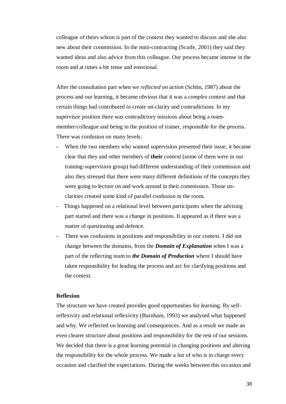colleague of theirs whom is part of the context they wanted to discuss and she also new about their commission. In the mini-contracting (Scaife, 2001) they said they wanted ideas and also advice from this colleague. Our process became intense in the room and at times a bit tense and emotional.

After the consultation part when we *reflected on action* (Schön, 1987) about the process and our learning, it became obvious that it was a *complex* context and that certain things had contributed to create un-clarity and contradictions. In my supervisor position there was contradictory missions about being a teammember/colleague and being in the position of trainer, responsible for the process. There was confusion on many levels:

- When the two members who wanted supervision presented their issue, it became clear that they and other members of **their** context (some of them were in our training-supervision group) had different understanding of their commission and also they stressed that there were many different definitions of the concepts they were going to lecture on and work around in their commission. Those unclarities created some kind of parallel confusion in the room.
- Things happened on a relational level between participants when the advising part started and there was a change in positions. It appeared as if there was a matter of questioning and defence.
- **-** There was confusions in positions and responsibility in our context. I did not change between the domains, from the *Domain of Explanation* when I was a part of the reflecting team to *the Domain of Production* where I should have taken responsibility for leading the process and act for clarifying positions and the context.

#### **Reflexion**

The structure we have created provides good opportunities for learning. By selfreflexivity and relational reflexivity (Burnham, 1993) we analysed what happened and why. We reflected on learning and consequences. And as a result we made an even clearer structure about positions and responsibility for the rest of our sessions. We decided that there is a great learning potential in changing positions and altering the responsibility for the whole process. We made a list of who is in charge every occasion and clarified the expectations. During the weeks between this occasion and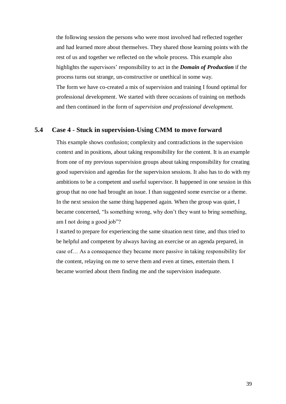the following session the persons who were most involved had reflected together and had learned more about themselves. They shared those learning points with the rest of us and together we reflected on the whole process. This example also highlights the supervisors' responsibility to act in the *Domain of Production* if the process turns out strange, un-constructive or unethical in some way. The form we have co-created a mix of supervision and training I found optimal for professional development. We started with three occasions of training on methods and then continued in the form of *supervision and professional development.*

### <span id="page-38-0"></span>**5.4 Case 4 - Stuck in supervision-Using CMM to move forward**

This example shows confusion; complexity and contradictions in the supervision context and in positions, about taking responsibility for the content. It is an example from one of my previous supervision groups about taking responsibility for creating good supervision and agendas for the supervision sessions. It also has to do with my ambitions to be a competent and useful supervisor. It happened in one session in this group that no one had brought an issue. I than suggested some exercise or a theme. In the next session the same thing happened again. When the group was quiet, I became concerned, "Is something wrong, why don't they want to bring something, am I not doing a good job"?

I started to prepare for experiencing the same situation next time, and thus tried to be helpful and competent by always having an exercise or an agenda prepared, in case of… As a consequence they became more passive in taking responsibility for the content, relaying on me to serve them and even at times, entertain them. I became worried about them finding me and the supervision inadequate.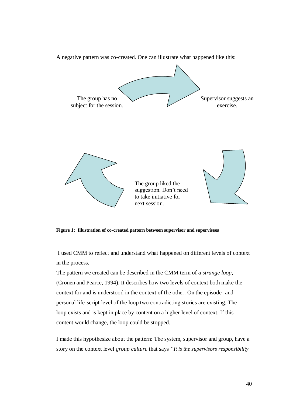

A negative pattern was co-created. One can illustrate what happened like this:

**Figure 1: Illustration of co-created pattern between supervisor and supervisees**

I used CMM to reflect and understand what happened on different levels of context in the process.

The pattern we created can be described in the CMM term of *a strange loop*, (Cronen and Pearce, 1994). It describes how two levels of context both make the context for and is understood in the context of the other. On the episode- and personal life-script level of the loop two contradicting stories are existing. The loop exists and is kept in place by content on a higher level of context. If this content would change, the loop could be stopped.

I made this hypothesize about the pattern: The system, supervisor and group, have a story on the context level *group culture* that says *"It is the supervisors responsibility*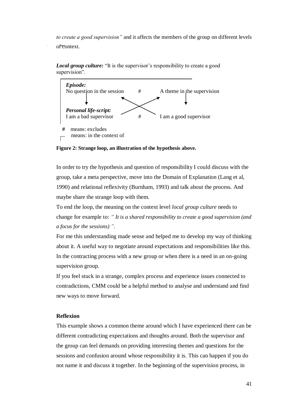*to create a good supervision"* and it affects the members of the group on different levels of context.



*Local group culture:* "It is the supervisor's responsibility to create a good supervision".

**Figure 2: Strange loop, an illustration of the hypothesis above.**

In order to try the hypothesis and question of responsibility I could discuss with the group, take a meta perspective, move into the Domain of Explanation (Lang et al, 1990) and relational reflexivity (Burnham, 1993) and talk about the process. And maybe share the strange loop with them.

To end the loop, the meaning on the context level *local group culture* needs to change for example to: *" It is a shared responsibility to create a good supervision (and a focus for the sessions) ".*

For me this understanding made sense and helped me to develop my way of thinking about it. A useful way to negotiate around expectations and responsibilities like this. In the contracting process with a new group or when there is a need in an on-going supervision group.

If you feel stuck in a strange, complex process and experience issues connected to contradictions, CMM could be a helpful method to analyse and understand and find new ways to move forward.

### **Reflexion**

This example shows a common theme around which I have experienced there can be different contradicting expectations and thoughts around. Both the supervisor and the group can feel demands on providing interesting themes and questions for the sessions and confusion around whose responsibility it is. This can happen if you do not name it and discuss it together. In the beginning of the supervision process, in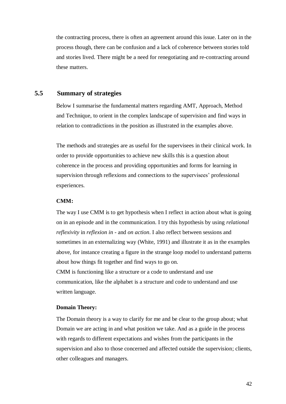the contracting process, there is often an agreement around this issue. Later on in the process though, there can be confusion and a lack of coherence between stories told and stories lived. There might be a need for renegotiating and re-contracting around these matters.

### <span id="page-41-0"></span>**5.5 Summary of strategies**

Below I summarise the fundamental matters regarding AMT, Approach, Method and Technique, to orient in the complex landscape of supervision and find ways in relation to contradictions in the position as illustrated in the examples above.

The methods and strategies are as useful for the supervisees in their clinical work. In order to provide opportunities to achieve new skills this is a question about coherence in the process and providing opportunities and forms for learning in supervision through reflexions and connections to the supervisees' professional experiences.

#### <span id="page-41-1"></span> **CMM:**

The way I use CMM is to get hypothesis when I reflect in action about what is going on in an episode and in the communication. I try this hypothesis by using *relational reflexivity* in *reflexion in* - and *on action*. I also reflect between sessions and sometimes in an externalizing way (White, 1991) and illustrate it as in the examples above, for instance creating a figure in the strange loop model to understand patterns about how things fit together and find ways to go on. CMM is functioning like a structure or a code to understand and use communication, like the alphabet is a structure and code to understand and use written language.

#### <span id="page-41-2"></span>**Domain Theory:**

The Domain theory is a way to clarify for me and be clear to the group about; what Domain we are acting in and what position we take. And as a guide in the process with regards to different expectations and wishes from the participants in the supervision and also to those concerned and affected outside the supervision; clients, other colleagues and managers.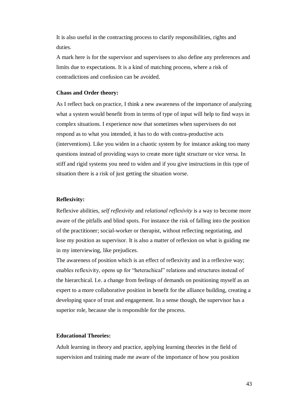It is also useful in the contracting process to clarify responsibilities, rights and duties.

A mark here is for the supervisor and supervisees to also define any preferences and limits due to expectations. It is a kind of matching process, where a risk of contradictions and confusion can be avoided.

#### <span id="page-42-0"></span>**Chaos and Order theory:**

As I reflect back on practice, I think a new awareness of the importance of analyzing what a system would benefit from in terms of type of input will help to find ways in complex situations. I experience now that sometimes when supervisees do not respond as to what you intended, it has to do with contra-productive acts (interventions). Like you widen in a chaotic system by for instance asking too many questions instead of providing ways to create more tight structure or vice versa. In stiff and rigid systems you need to widen and if you give instructions in this type of situation there is a risk of just getting the situation worse.

#### <span id="page-42-1"></span>**Reflexivity:**

Reflexive abilities, *self reflexivity* and *relational reflexivity* is a way to become more aware of the pitfalls and blind spots. For instance the risk of falling into the position of the practitioner; social-worker or therapist, without reflecting negotiating, and lose my position as supervisor. It is also a matter of reflexion on what is guiding me in my interviewing, like prejudices.

The awareness of position which is an effect of reflexivity and in a reflexive way; enables reflexivity, opens up for "heterachical" relations and structures instead of the hierarchical. I.e. a change from feelings of demands on positioning myself as an expert to a more collaborative position in benefit for the alliance building, creating a developing space of trust and engagement. In a sense though, the supervisor has a superior role, because she is responsible for the process.

#### <span id="page-42-2"></span>**Educational Theories:**

Adult learning in theory and practice, applying learning theories in the field of supervision and training made me aware of the importance of how you position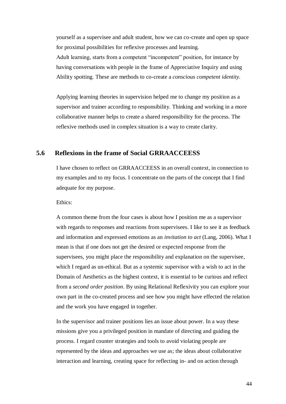yourself as a supervisee and adult student, how we can co-create and open up space for proximal possibilities for reflexive processes and learning.

Adult learning, starts from a competent "incompetent" position, for instance by having conversations with people in the frame of Appreciative Inquiry and using Ability spotting. These are methods to co-create a *conscious competent identity.*

Applying learning theories in supervision helped me to change my position as a supervisor and trainer according to responsibility. Thinking and working in a more collaborative manner helps to create a shared responsibility for the process. The reflexive methods used in complex situation is a way to create clarity.

### <span id="page-43-0"></span>**5.6 Reflexions in the frame of Social GRRAACCEESS**

I have chosen to reflect on GRRAACCEESS in an overall context, in connection to my examples and to my focus. I concentrate on the parts of the concept that I find adequate for my purpose.

### Ethics:

A common theme from the four cases is about how I position me as a supervisor with regards to responses and reactions from supervisees. I like to see it as feedback and information and expressed emotions as an *invitation to act* (Lang, 2006). What I mean is that if one does not get the desired or expected response from the supervisees, you might place the responsibility and explanation on the supervisee, which I regard as un-ethical. But as a systemic supervisor with a wish to act in the Domain of Aesthetics as the highest context, it is essential to be curious and reflect from a *second order position*. By using Relational Reflexivity you can explore your own part in the co-created process and see how you might have effected the relation and the work you have engaged in together.

In the supervisor and trainer positions lies an issue about power. In a way these missions give you a privileged position in mandate of directing and guiding the process. I regard counter strategies and tools to avoid violating people are represented by the ideas and approaches we use as; the ideas about collaborative interaction and learning, creating space for reflecting in- and on action through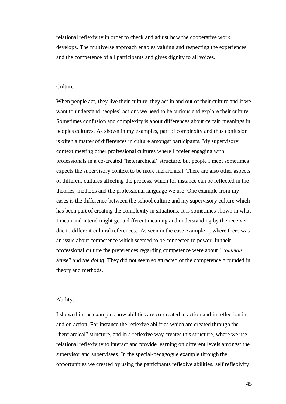relational reflexivity in order to check and adjust how the cooperative work develops. The multiverse approach enables valuing and respecting the experiences and the competence of all participants and gives dignity to all voices.

#### Culture:

When people act, they live their culture, they act in and out of their culture and if we want to understand peoples' actions we need to be curious and explore their culture. Sometimes confusion and complexity is about differences about certain meanings in peoples cultures. As shown in my examples, part of complexity and thus confusion is often a matter of differences in culture amongst participants. My supervisory context meeting other professional cultures where I prefer engaging with professionals in a co-created "heterarchical" structure, but people I meet sometimes expects the supervisory context to be more hierarchical. There are also other aspects of different cultures affecting the process, which for instance can be reflected in the theories, methods and the professional language we use. One example from my cases is the difference between the school culture and my supervisory culture which has been part of creating the complexity in situations. It is sometimes shown in what I mean and intend might get a different meaning and understanding by the receiver due to different cultural references. As seen in the case example 1, where there was an issue about competence which seemed to be connected to power. In their professional culture the preferences regarding competence were about *"common sense*" and *the doing.* They did not seem so attracted of the competence grounded in theory and methods.

#### Ability:

I showed in the examples how abilities are co-created in action and in reflection inand on action. For instance the reflexive abilities which are created through the "heterarcical" structure, and in a reflexive way creates this structure, where we use relational reflexivity to interact and provide learning on different levels amongst the supervisor and supervisees. In the special-pedagogue example through the opportunities we created by using the participants reflexive abilities, self reflexivity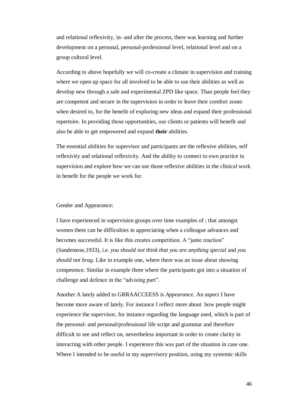and relational reflexivity, in- and after the process, there was learning and further development on a personal, personal-professional level, relational level and on a group cultural level.

According to above hopefully we will co-create a climate in supervision and training where we open up space for all involved to be able to use their abilities as well as develop new through a safe and experimental ZPD like space. Than people feel they are competent and secure in the supervision in order to leave their comfort zones when desired to, for the benefit of exploring new ideas and expand their professional repertoire. In providing those opportunities, our clients or patients will benefit and also be able to get empowered and expand **their** abilities.

The essential abilities for supervisor and participants are the reflexive abilities, self reflexivity and relational reflexivity. And the ability to connect to own practice in supervision and explore how we can use those reflexive abilities in the clinical work in benefit for the people we work for.

#### Gender and Appearance:

I have experienced in supervision groups over time examples of ; that amongst women there can be difficulties in appreciating when a colleague advances and becomes successful. It is like this creates competition. A "jante reaction" (Sandemose,1933), i.e. *you should not think that you are anything special* and *you should not brag.* Like in example one, where there was an issue about showing competence. Similar in example three where the participants got into a situation of challenge and defence in the "advising part".

Another A lately added to GRRAACCEESS is *Appearance*. An aspect I have become more aware of lately. For instance I reflect more about how people might experience the supervisor, for instance regarding the language used, which is part of the personal- and personal/professional life script and grammar and therefore difficult to see and reflect on, nevertheless important in order to create clarity in interacting with other people. I experience this was part of the situation in case one. Where I intended to be useful in my supervisory position, using my systemic skills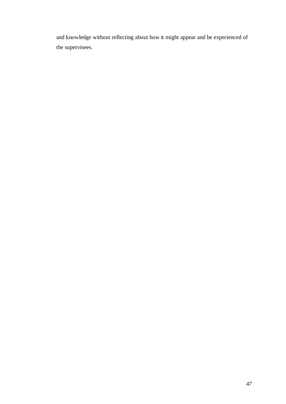and knowledge without reflecting about how it might appear and be experienced of the supervisees.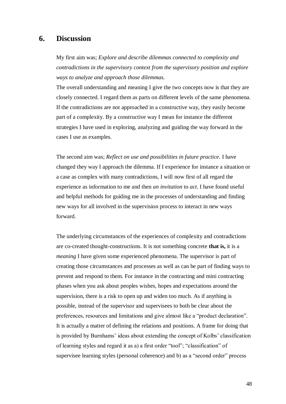### <span id="page-47-0"></span>**6. Discussion**

My first aim was; *Explore and describe dilemmas connected to complexity and contradictions in the supervisory context from the supervisory position and explore ways to analyze and approach those dilemmas.*

The overall understanding and meaning I give the two concepts now is that they are closely connected. I regard them as parts on different levels of the same phenomena. If the contradictions are not approached in a constructive way, they easily become part of a complexity. By a constructive way I mean for instance the different strategies I have used in exploring, analyzing and guiding the way forward in the cases I use as examples.

The second aim was; *Reflect on use and possibilities in future practice.* I have changed they way I approach the dilemma. If I experience for instance a situation or a case as complex with many contradictions, I will now first of all regard the experience as information to me and then *an invitation to act*. I have found useful and helpful methods for guiding me in the processes of understanding and finding new ways for all involved in the supervision process to interact in new ways forward.

The underlying circumstances of the experiences of complexity and contradictions are co-created thought-constructions. It is not something concrete **that is,** it is a *meaning* I have given some experienced phenomena. The supervisor is part of creating those circumstances and processes as well as can be part of finding ways to prevent and respond to them. For instance in the contracting and mini contracting phases when you ask about peoples wishes, hopes and expectations around the supervision, there is a risk to open up and widen too much. As if anything is possible, instead of the supervisor and supervisees to both be clear about the preferences, resources and limitations and give almost like a "product declaration". It is actually a matter of defining the relations and positions. A frame for doing that is provided by Burnhams' ideas about extending the concept of Kolbs' classification of learning styles and regard it as a) a first order "tool"; "classification" of supervisee learning styles (personal coherence) and b) as a "second order" process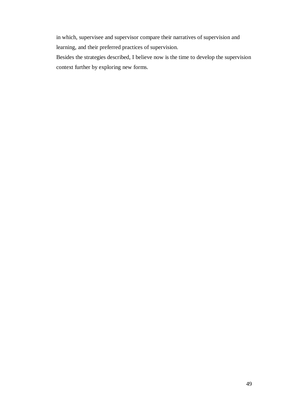in which, supervisee and supervisor compare their narratives of supervision and learning, and their preferred practices of supervision.

Besides the strategies described, I believe now is the time to develop the supervision context further by exploring new forms.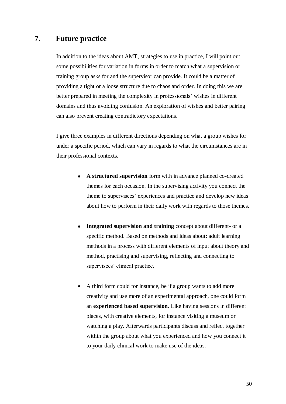### <span id="page-49-0"></span>**7. Future practice**

In addition to the ideas about AMT, strategies to use in practice, I will point out some possibilities for variation in forms in order to match what a supervision or training group asks for and the supervisor can provide. It could be a matter of providing a tight or a loose structure due to chaos and order. In doing this we are better prepared in meeting the complexity in professionals' wishes in different domains and thus avoiding confusion. An exploration of wishes and better pairing can also prevent creating contradictory expectations.

I give three examples in different directions depending on what a group wishes for under a specific period, which can vary in regards to what the circumstances are in their professional contexts.

- **A structured supervision** form with in advance planned co-created  $\bullet$ themes for each occasion. In the supervising activity you connect the theme to supervisees' experiences and practice and develop new ideas about how to perform in their daily work with regards to those themes.
- **Integrated supervision and training** concept about different- or a  $\bullet$ specific method. Based on methods and ideas about: adult learning methods in a process with different elements of input about theory and method, practising and supervising, reflecting and connecting to supervisees' clinical practice.
- A third form could for instance, be if a group wants to add more  $\bullet$ creativity and use more of an experimental approach, one could form an **experienced based supervision**. Like having sessions in different places, with creative elements, for instance visiting a museum or watching a play. Afterwards participants discuss and reflect together within the group about what you experienced and how you connect it to your daily clinical work to make use of the ideas.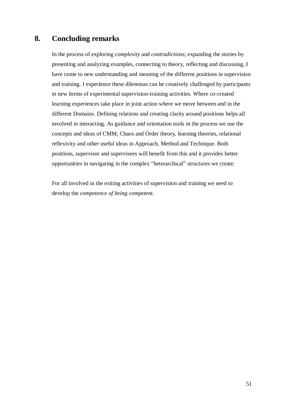## <span id="page-50-0"></span>**8. Concluding remarks**

In the process of exploring *complexity* and *contradictions*; expanding the stories by presenting and analyzing examples, connecting to theory, reflecting and discussing, I have come to new understanding and meaning of the different positions in supervision and training. I experience these dilemmas can be creatively challenged by participants in new forms of experimental supervision-training activities. Where co-created learning experiences take place in joint action where we move between and in the different Domains. Defining relations and creating clarity around positions helps all involved in interacting. As guidance and orientation tools in the process we use the concepts and ideas of CMM, Chaos and Order theory, learning theories, relational reflexivity and other useful ideas in Approach, Method and Technique. Both positions, supervisor and supervisees will benefit from this and it provides better opportunities in navigating in the complex "heterarchical" structures we create.

For all involved in the exiting activities of supervision and training we need to develop the *competence of being competent.*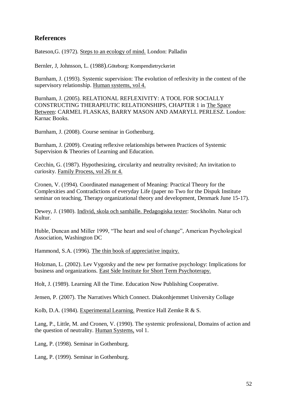### **References**

Bateson,G. (1972). Steps to an ecology of mind. London: Palladin

Bernler, J, Johnsson, L. (1988).Göteborg: Kompendietryckeriet

Burnham, J. (1993). Systemic supervision: The evolution of reflexivity in the context of the supervisory relationship. Human systems, vol 4.

Burnham, J. (2005). RELATIONAL REFLEXIVITY: A TOOL FOR SOCIALLY CONSTRUCTING THERAPEUTIC RELATIONSHIPS, CHAPTER 1 in The Space Between: CARMEL FLASKAS, BARRY MASON AND AMARYLL PERLESZ. London: Karnac Books.

Burnham, J. (2008). Course seminar in Gothenburg.

Burnham, J. (2009). Creating reflexive relationships between Practices of Systemic Supervision & Theories of Learning and Education.

Cecchin, G. (1987). Hypothesizing, circularity and neutrality revisited; An invitation to curiosity. Family Process, vol 26 nr 4.

Cronen, V. (1994). Coordinated management of Meaning: Practical Theory for the Complexities and Contradictions of everyday Life (paper no Two for the Dispuk Institute seminar on teaching, Therapy organizational theory and development, Denmark June 15-17).

Dewey, J. (1980). Individ, skola och samhälle. Pedagogiska texter: Stockholm. Natur och Kultur.

Huble, Duncan and Miller 1999, "The heart and soul of change", American Psychological Association, Washington DC

Hammond, S.A. (1996). The thin book of appreciative inquiry.

Holzman, L. (2002). Lev Vygotsky and the new per formative psychology: Implications for business and organizations. East Side Institute for Short Term Psychoterapy.

Holt, J. (1989). Learning All the Time. Education Now Publishing Cooperative.

Jensen, P. (2007). The Narratives Which Connect. Diakonhjemmet University Collage

Kolb, D.A. (1984). Experimental Learning. Prentice Hall Zemke R & S.

Lang, P., Little, M. and Cronen, V. (1990). The systemic professional, Domains of action and the question of neutrality. Human Systems, vol 1.

Lang, P. (1998). Seminar in Gothenburg.

Lang, P. (1999). Seminar in Gothenburg.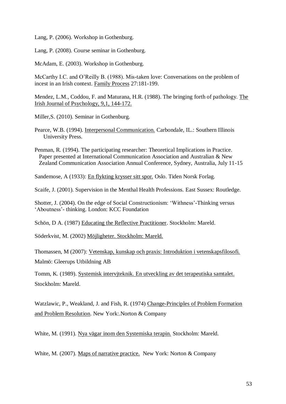Lang, P. (2006). Workshop in Gothenburg.

Lang, P. (2008). Course seminar in Gothenburg.

McAdam, E. (2003). Workshop in Gothenburg.

McCarthy I.C. and O'Reilly B. (1988). Mis-taken love: Conversations on the problem of incest in an Irish context. Family Process 27:181-199.

Mendez, L.M., Coddou, F. and Maturana, H.R. (1988). The bringing forth of pathology. The Irish Journal of Psychology, 9,1, 144-172.

Miller,S. (2010). Seminar in Gothenburg.

Pearce, W.B. (1994). Interpersonal Communication. Carbondale, IL.: Southern Illinois University Press.

Penman, R. (1994). The participating researcher: Theoretical Implications in Practice. Paper presented at International Communication Association and Australian & New Zealand Communication Association Annual Conference, Sydney, Australia, July 11-15

Sandemose, A (1933): En flykting krysser sitt spor. Oslo. Tiden Norsk Forlag.

Scaife, J. (2001). Supervision in the Menthal Health Professions. East Sussex: Routledge.

Shotter, J. (2004). On the edge of Social Constructionism: 'Withness'-Thinking versus 'Aboutness'- thinking. London: KCC Foundation

Schön, D A. (1987) Educating the Reflective Practitioner. Stockholm: Mareld.

Söderkvist, M. (2002) Möjligheter. Stockholm: Mareld.

Thomassen, M (2007): Vetenskap, kunskap och praxis: Introduktion i vetenskapsfilosofi. Malmö: Gleerups Utbildning AB

Tomm, K. (1989). Systemisk intervjteknik. En utveckling av det terapeutiska samtalet. Stockholm: Mareld.

Watzlawic, P., Weakland, J. and Fish, R. (1974) Change-Principles of Problem Formation and Problem Resolution. New York:.Norton & Company

White, M. (1991). Nya vägar inom den Systemiska terapin. Stockholm: Mareld.

White, M. (2007). Maps of narrative practice. New York: Norton & Company